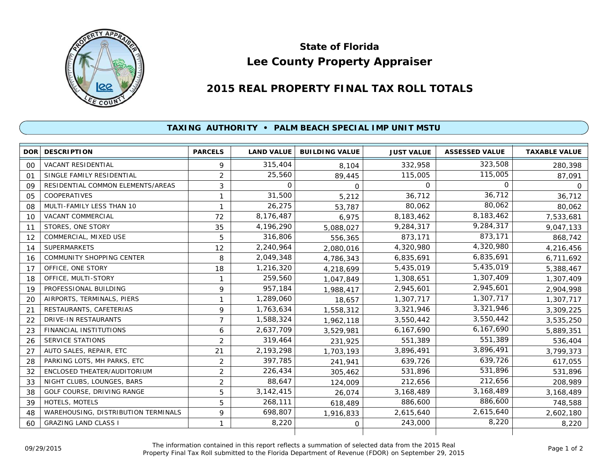

## **Lee County Property Appraiser State of Florida**

## **2015 REAL PROPERTY FINAL TAX ROLL TOTALS**

## **TAXING AUTHORITY • PALM BEACH SPECIAL IMP UNIT MSTU**

| <b>DOR</b> | <b>DESCRIPTION</b>                  | <b>PARCELS</b> | <b>LAND VALUE</b> | <b>BUILDING VALUE</b> | <b>JUST VALUE</b> | <b>ASSESSED VALUE</b> | <b>TAXABLE VALUE</b> |
|------------|-------------------------------------|----------------|-------------------|-----------------------|-------------------|-----------------------|----------------------|
| 00         | <b>VACANT RESIDENTIAL</b>           | 9              | 315,404           | 8,104                 | 332,958           | 323,508               | 280,398              |
| 01         | SINGLE FAMILY RESIDENTIAL           | $\overline{2}$ | 25,560            | 89,445                | 115,005           | 115,005               | 87,091               |
| 09         | RESIDENTIAL COMMON ELEMENTS/AREAS   | 3              | 0                 | $\Omega$              | $\Omega$          | $\Omega$              | 0                    |
| 05         | <b>COOPERATIVES</b>                 | 1              | 31,500            | 5,212                 | 36,712            | 36,712                | 36,712               |
| 08         | MULTI-FAMILY LESS THAN 10           | 1              | 26,275            | 53,787                | 80,062            | 80,062                | 80,062               |
| 10         | <b>VACANT COMMERCIAL</b>            | 72             | 8,176,487         | 6,975                 | 8,183,462         | 8,183,462             | 7,533,681            |
| 11         | STORES, ONE STORY                   | 35             | 4,196,290         | 5,088,027             | 9,284,317         | 9,284,317             | 9,047,133            |
| 12         | COMMERCIAL, MIXED USE               | 5              | 316,806           | 556,365               | 873,171           | 873,171               | 868,742              |
| 14         | <b>SUPERMARKETS</b>                 | 12             | 2,240,964         | 2,080,016             | 4,320,980         | 4,320,980             | 4,216,456            |
| 16         | <b>COMMUNITY SHOPPING CENTER</b>    | 8              | 2,049,348         | 4,786,343             | 6,835,691         | 6,835,691             | 6,711,692            |
| 17         | OFFICE, ONE STORY                   | 18             | 1,216,320         | 4,218,699             | 5,435,019         | 5,435,019             | 5,388,467            |
| 18         | OFFICE, MULTI-STORY                 | $\mathbf{1}$   | 259,560           | 1,047,849             | 1,308,651         | 1,307,409             | 1,307,409            |
| 19         | PROFESSIONAL BUILDING               | 9              | 957,184           | 1,988,417             | 2,945,601         | 2,945,601             | 2,904,998            |
| 20         | AIRPORTS, TERMINALS, PIERS          | $\mathbf{1}$   | 1,289,060         | 18,657                | 1,307,717         | 1,307,717             | 1,307,717            |
| 21         | RESTAURANTS, CAFETERIAS             | 9              | 1,763,634         | 1,558,312             | 3,321,946         | 3,321,946             | 3,309,225            |
| 22         | <b>DRIVE-IN RESTAURANTS</b>         | 7              | 1,588,324         | 1,962,118             | 3,550,442         | 3,550,442             | 3,535,250            |
| 23         | <b>FINANCIAL INSTITUTIONS</b>       | 6              | 2,637,709         | 3,529,981             | 6,167,690         | 6,167,690             | 5,889,351            |
| 26         | <b>SERVICE STATIONS</b>             | $\overline{2}$ | 319,464           | 231,925               | 551,389           | 551,389               | 536,404              |
| 27         | AUTO SALES, REPAIR, ETC             | 21             | 2,193,298         | 1,703,193             | 3,896,491         | 3,896,491             | 3,799,373            |
| 28         | PARKING LOTS, MH PARKS, ETC         | $\overline{2}$ | 397,785           | 241,941               | 639,726           | 639,726               | 617,055              |
| 32         | ENCLOSED THEATER/AUDITORIUM         | $\overline{2}$ | 226,434           | 305,462               | 531,896           | 531,896               | 531,896              |
| 33         | NIGHT CLUBS, LOUNGES, BARS          | $\overline{2}$ | 88,647            | 124,009               | 212,656           | 212,656               | 208,989              |
| 38         | GOLF COURSE, DRIVING RANGE          | 5              | 3, 142, 415       | 26,074                | 3,168,489         | 3,168,489             | 3,168,489            |
| 39         | HOTELS, MOTELS                      | 5              | 268,111           | 618,489               | 886,600           | 886,600               | 748,588              |
| 48         | WAREHOUSING, DISTRIBUTION TERMINALS | 9              | 698,807           | 1,916,833             | 2,615,640         | 2,615,640             | 2,602,180            |
| 60         | <b>GRAZING LAND CLASS I</b>         | 1              | 8,220             | $\mathbf 0$           | 243,000           | 8,220                 | 8,220                |
|            |                                     |                |                   |                       |                   |                       |                      |

The information contained in this report reflects a summation of selected data from the 2015 Real Ine information contained in this report reflects a summation of selected data from the 2015 Real<br>Property Final Tax Roll submitted to the Florida Department of Revenue (FDOR) on September 29, 2015